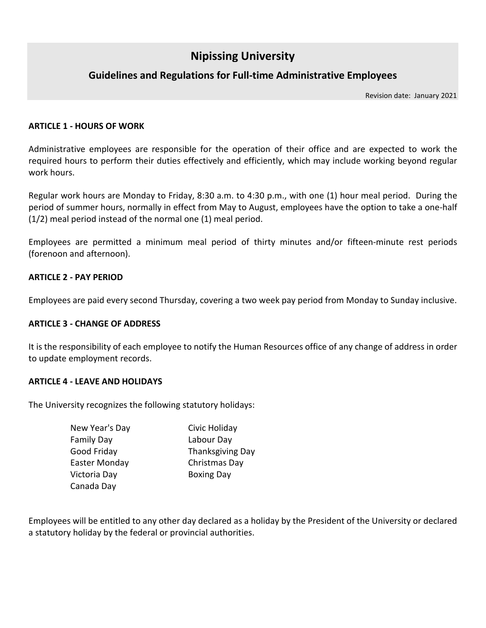# **Nipissing University**

### **Guidelines and Regulations for Full-time Administrative Employees**

Revision date: January 2021

#### **ARTICLE 1 - HOURS OF WORK**

Administrative employees are responsible for the operation of their office and are expected to work the required hours to perform their duties effectively and efficiently, which may include working beyond regular work hours.

Regular work hours are Monday to Friday, 8:30 a.m. to 4:30 p.m., with one (1) hour meal period. During the period of summer hours, normally in effect from May to August, employees have the option to take a one-half (1/2) meal period instead of the normal one (1) meal period.

Employees are permitted a minimum meal period of thirty minutes and/or fifteen-minute rest periods (forenoon and afternoon).

### **ARTICLE 2 - PAY PERIOD**

Employees are paid every second Thursday, covering a two week pay period from Monday to Sunday inclusive.

#### **ARTICLE 3 - CHANGE OF ADDRESS**

It is the responsibility of each employee to notify the Human Resources office of any change of address in order to update employment records.

#### **ARTICLE 4 - LEAVE AND HOLIDAYS**

The University recognizes the following statutory holidays:

| New Year's Day    | Civic Holiday           |
|-------------------|-------------------------|
| <b>Family Day</b> | Labour Day              |
| Good Friday       | <b>Thanksgiving Day</b> |
| Easter Monday     | Christmas Day           |
| Victoria Day      | <b>Boxing Day</b>       |
| Canada Day        |                         |

Employees will be entitled to any other day declared as a holiday by the President of the University or declared a statutory holiday by the federal or provincial authorities.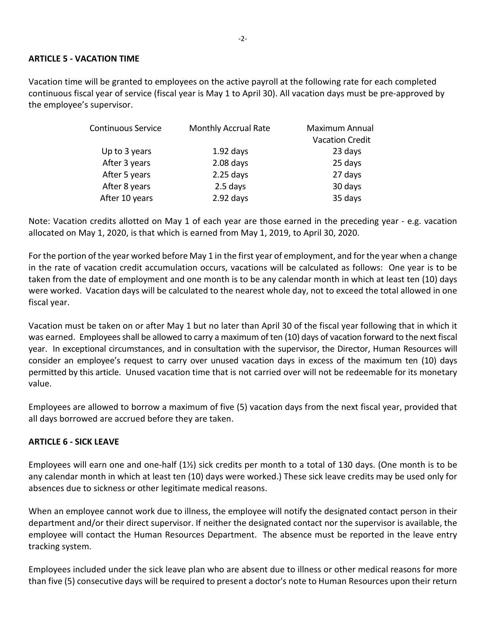#### **ARTICLE 5 - VACATION TIME**

Vacation time will be granted to employees on the active payroll at the following rate for each completed continuous fiscal year of service (fiscal year is May 1 to April 30). All vacation days must be pre-approved by the employee's supervisor.

| <b>Monthly Accrual Rate</b> | Maximum Annual         |
|-----------------------------|------------------------|
|                             | <b>Vacation Credit</b> |
| $1.92$ days                 | 23 days                |
| $2.08$ days                 | 25 days                |
| $2.25$ days                 | 27 days                |
| 2.5 days                    | 30 days                |
| $2.92$ days                 | 35 days                |
|                             |                        |

Note: Vacation credits allotted on May 1 of each year are those earned in the preceding year - e.g. vacation allocated on May 1, 2020, is that which is earned from May 1, 2019, to April 30, 2020.

For the portion of the year worked before May 1 in the first year of employment, and for the year when a change in the rate of vacation credit accumulation occurs, vacations will be calculated as follows: One year is to be taken from the date of employment and one month is to be any calendar month in which at least ten (10) days were worked. Vacation days will be calculated to the nearest whole day, not to exceed the total allowed in one fiscal year.

Vacation must be taken on or after May 1 but no later than April 30 of the fiscal year following that in which it was earned. Employees shall be allowed to carry a maximum of ten (10) days of vacation forward to the next fiscal year. In exceptional circumstances, and in consultation with the supervisor, the Director, Human Resources will consider an employee's request to carry over unused vacation days in excess of the maximum ten (10) days permitted by this article. Unused vacation time that is not carried over will not be redeemable for its monetary value.

Employees are allowed to borrow a maximum of five (5) vacation days from the next fiscal year, provided that all days borrowed are accrued before they are taken.

### **ARTICLE 6 - SICK LEAVE**

Employees will earn one and one-half (1½) sick credits per month to a total of 130 days. (One month is to be any calendar month in which at least ten (10) days were worked.) These sick leave credits may be used only for absences due to sickness or other legitimate medical reasons.

When an employee cannot work due to illness, the employee will notify the designated contact person in their department and/or their direct supervisor. If neither the designated contact nor the supervisor is available, the employee will contact the Human Resources Department. The absence must be reported in the leave entry tracking system.

Employees included under the sick leave plan who are absent due to illness or other medical reasons for more than five (5) consecutive days will be required to present a doctor's note to Human Resources upon their return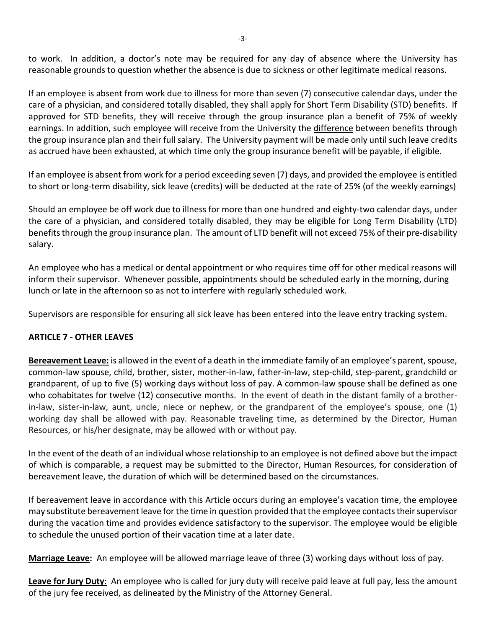to work. In addition, a doctor's note may be required for any day of absence where the University has reasonable grounds to question whether the absence is due to sickness or other legitimate medical reasons.

If an employee is absent from work due to illness for more than seven (7) consecutive calendar days, under the care of a physician, and considered totally disabled, they shall apply for Short Term Disability (STD) benefits. If approved for STD benefits, they will receive through the group insurance plan a benefit of 75% of weekly earnings. In addition, such employee will receive from the University the difference between benefits through the group insurance plan and their full salary. The University payment will be made only until such leave credits as accrued have been exhausted, at which time only the group insurance benefit will be payable, if eligible.

If an employee is absent from work for a period exceeding seven (7) days, and provided the employee is entitled to short or long-term disability, sick leave (credits) will be deducted at the rate of 25% (of the weekly earnings)

Should an employee be off work due to illness for more than one hundred and eighty-two calendar days, under the care of a physician, and considered totally disabled, they may be eligible for Long Term Disability (LTD) benefits through the group insurance plan. The amount of LTD benefit will not exceed 75% of their pre-disability salary.

An employee who has a medical or dental appointment or who requires time off for other medical reasons will inform their supervisor. Whenever possible, appointments should be scheduled early in the morning, during lunch or late in the afternoon so as not to interfere with regularly scheduled work.

Supervisors are responsible for ensuring all sick leave has been entered into the leave entry tracking system.

### **ARTICLE 7 - OTHER LEAVES**

**Bereavement Leave:** is allowed in the event of a death in the immediate family of an employee's parent, spouse, common-law spouse, child, brother, sister, mother-in-law, father-in-law, step-child, step-parent, grandchild or grandparent, of up to five (5) working days without loss of pay. A common-law spouse shall be defined as one who cohabitates for twelve (12) consecutive months. In the event of death in the distant family of a brotherin-law, sister-in-law, aunt, uncle, niece or nephew, or the grandparent of the employee's spouse, one (1) working day shall be allowed with pay. Reasonable traveling time, as determined by the Director, Human Resources, or his/her designate, may be allowed with or without pay.

In the event of the death of an individual whose relationship to an employee is not defined above but the impact of which is comparable, a request may be submitted to the Director, Human Resources, for consideration of bereavement leave, the duration of which will be determined based on the circumstances.

If bereavement leave in accordance with this Article occurs during an employee's vacation time, the employee may substitute bereavement leave for the time in question provided that the employee contacts their supervisor during the vacation time and provides evidence satisfactory to the supervisor. The employee would be eligible to schedule the unused portion of their vacation time at a later date.

**Marriage Leave:** An employee will be allowed marriage leave of three (3) working days without loss of pay.

**Leave for Jury Duty**: An employee who is called for jury duty will receive paid leave at full pay, less the amount of the jury fee received, as delineated by the Ministry of the Attorney General.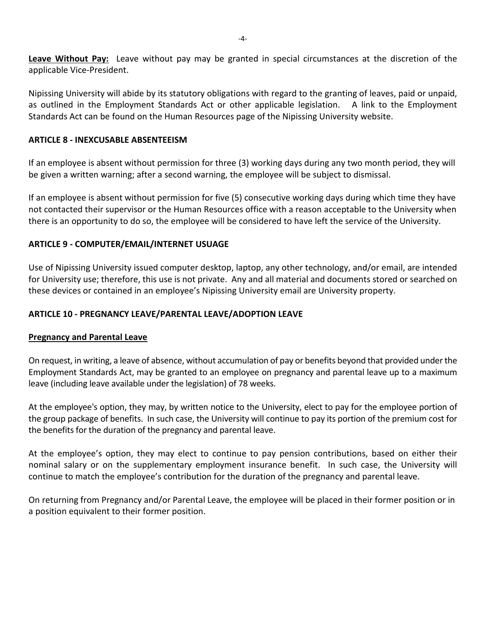**Leave Without Pay:** Leave without pay may be granted in special circumstances at the discretion of the applicable Vice-President.

Nipissing University will abide by its statutory obligations with regard to the granting of leaves, paid or unpaid, as outlined in the Employment Standards Act or other applicable legislation. A link to the Employment Standards Act can be found on the Human Resources page of the Nipissing University website.

### **ARTICLE 8 - INEXCUSABLE ABSENTEEISM**

If an employee is absent without permission for three (3) working days during any two month period, they will be given a written warning; after a second warning, the employee will be subject to dismissal.

If an employee is absent without permission for five (5) consecutive working days during which time they have not contacted their supervisor or the Human Resources office with a reason acceptable to the University when there is an opportunity to do so, the employee will be considered to have left the service of the University.

### **ARTICLE 9 - COMPUTER/EMAIL/INTERNET USUAGE**

Use of Nipissing University issued computer desktop, laptop, any other technology, and/or email, are intended for University use; therefore, this use is not private. Any and all material and documents stored or searched on these devices or contained in an employee's Nipissing University email are University property.

### **ARTICLE 10 - PREGNANCY LEAVE/PARENTAL LEAVE/ADOPTION LEAVE**

### **Pregnancy and Parental Leave**

On request, in writing, a leave of absence, without accumulation of pay or benefits beyond that provided under the Employment Standards Act, may be granted to an employee on pregnancy and parental leave up to a maximum leave (including leave available under the legislation) of 78 weeks.

At the employee's option, they may, by written notice to the University, elect to pay for the employee portion of the group package of benefits. In such case, the University will continue to pay its portion of the premium cost for the benefits for the duration of the pregnancy and parental leave.

At the employee's option, they may elect to continue to pay pension contributions, based on either their nominal salary or on the supplementary employment insurance benefit. In such case, the University will continue to match the employee's contribution for the duration of the pregnancy and parental leave.

On returning from Pregnancy and/or Parental Leave, the employee will be placed in their former position or in a position equivalent to their former position.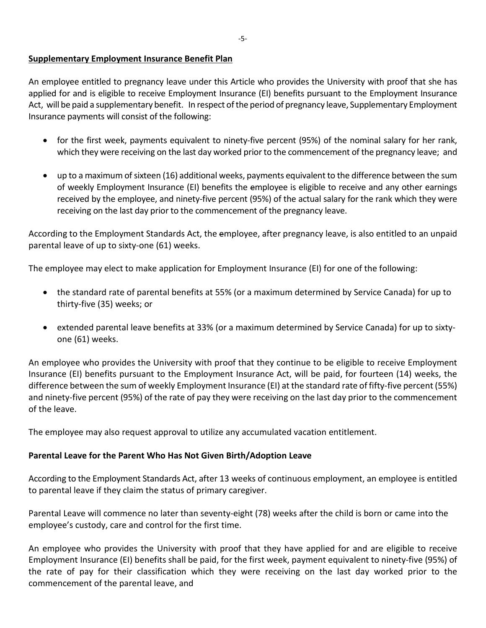### **Supplementary Employment Insurance Benefit Plan**

An employee entitled to pregnancy leave under this Article who provides the University with proof that she has applied for and is eligible to receive Employment Insurance (EI) benefits pursuant to the Employment Insurance Act, will be paid a supplementary benefit. In respect of the period of pregnancy leave, Supplementary Employment Insurance payments will consist of the following:

- for the first week, payments equivalent to ninety-five percent (95%) of the nominal salary for her rank, which they were receiving on the last day worked prior to the commencement of the pregnancy leave; and
- up to a maximum of sixteen (16) additional weeks, payments equivalent to the difference between the sum of weekly Employment Insurance (EI) benefits the employee is eligible to receive and any other earnings received by the employee, and ninety-five percent (95%) of the actual salary for the rank which they were receiving on the last day prior to the commencement of the pregnancy leave.

According to the Employment Standards Act, the employee, after pregnancy leave, is also entitled to an unpaid parental leave of up to sixty-one (61) weeks.

The employee may elect to make application for Employment Insurance (EI) for one of the following:

- the standard rate of parental benefits at 55% (or a maximum determined by Service Canada) for up to thirty-five (35) weeks; or
- extended parental leave benefits at 33% (or a maximum determined by Service Canada) for up to sixtyone (61) weeks.

An employee who provides the University with proof that they continue to be eligible to receive Employment Insurance (EI) benefits pursuant to the Employment Insurance Act, will be paid, for fourteen (14) weeks, the difference between the sum of weekly Employment Insurance (EI) at the standard rate of fifty-five percent (55%) and ninety-five percent (95%) of the rate of pay they were receiving on the last day prior to the commencement of the leave.

The employee may also request approval to utilize any accumulated vacation entitlement.

### **Parental Leave for the Parent Who Has Not Given Birth/Adoption Leave**

According to the Employment Standards Act, after 13 weeks of continuous employment, an employee is entitled to parental leave if they claim the status of primary caregiver.

Parental Leave will commence no later than seventy-eight (78) weeks after the child is born or came into the employee's custody, care and control for the first time.

An employee who provides the University with proof that they have applied for and are eligible to receive Employment Insurance (EI) benefits shall be paid, for the first week, payment equivalent to ninety-five (95%) of the rate of pay for their classification which they were receiving on the last day worked prior to the commencement of the parental leave, and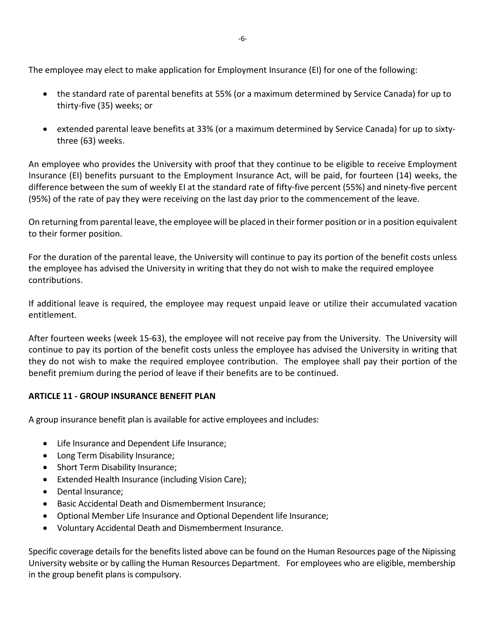The employee may elect to make application for Employment Insurance (EI) for one of the following:

- the standard rate of parental benefits at 55% (or a maximum determined by Service Canada) for up to thirty-five (35) weeks; or
- extended parental leave benefits at 33% (or a maximum determined by Service Canada) for up to sixtythree (63) weeks.

An employee who provides the University with proof that they continue to be eligible to receive Employment Insurance (EI) benefits pursuant to the Employment Insurance Act, will be paid, for fourteen (14) weeks, the difference between the sum of weekly EI at the standard rate of fifty-five percent (55%) and ninety-five percent (95%) of the rate of pay they were receiving on the last day prior to the commencement of the leave.

On returning from parental leave, the employee will be placed in their former position or in a position equivalent to their former position.

For the duration of the parental leave, the University will continue to pay its portion of the benefit costs unless the employee has advised the University in writing that they do not wish to make the required employee contributions.

If additional leave is required, the employee may request unpaid leave or utilize their accumulated vacation entitlement.

After fourteen weeks (week 15-63), the employee will not receive pay from the University. The University will continue to pay its portion of the benefit costs unless the employee has advised the University in writing that they do not wish to make the required employee contribution. The employee shall pay their portion of the benefit premium during the period of leave if their benefits are to be continued.

### **ARTICLE 11 - GROUP INSURANCE BENEFIT PLAN**

A group insurance benefit plan is available for active employees and includes:

- Life Insurance and Dependent Life Insurance;
- Long Term Disability Insurance;
- Short Term Disability Insurance;
- Extended Health Insurance (including Vision Care);
- Dental Insurance;
- Basic Accidental Death and Dismemberment Insurance;
- Optional Member Life Insurance and Optional Dependent life Insurance;
- Voluntary Accidental Death and Dismemberment Insurance.

Specific coverage details for the benefits listed above can be found on the Human Resources page of the Nipissing University website or by calling the Human Resources Department. For employees who are eligible, membership in the group benefit plans is compulsory.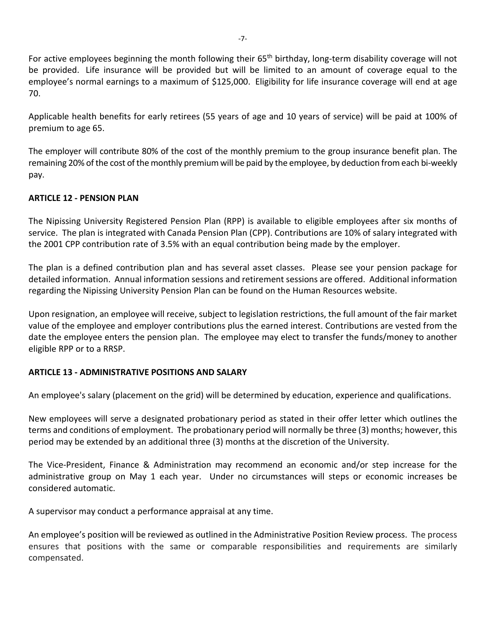For active employees beginning the month following their 65<sup>th</sup> birthday, long-term disability coverage will not be provided. Life insurance will be provided but will be limited to an amount of coverage equal to the employee's normal earnings to a maximum of \$125,000. Eligibility for life insurance coverage will end at age 70.

Applicable health benefits for early retirees (55 years of age and 10 years of service) will be paid at 100% of premium to age 65.

The employer will contribute 80% of the cost of the monthly premium to the group insurance benefit plan. The remaining 20% of the cost of the monthly premium will be paid by the employee, by deduction from each bi-weekly pay.

### **ARTICLE 12 - PENSION PLAN**

The Nipissing University Registered Pension Plan (RPP) is available to eligible employees after six months of service. The plan is integrated with Canada Pension Plan (CPP). Contributions are 10% of salary integrated with the 2001 CPP contribution rate of 3.5% with an equal contribution being made by the employer.

The plan is a defined contribution plan and has several asset classes. Please see your pension package for detailed information. Annual information sessions and retirement sessions are offered. Additional information regarding the Nipissing University Pension Plan can be found on the Human Resources website.

Upon resignation, an employee will receive, subject to legislation restrictions, the full amount of the fair market value of the employee and employer contributions plus the earned interest. Contributions are vested from the date the employee enters the pension plan. The employee may elect to transfer the funds/money to another eligible RPP or to a RRSP.

### **ARTICLE 13 - ADMINISTRATIVE POSITIONS AND SALARY**

An employee's salary (placement on the grid) will be determined by education, experience and qualifications.

New employees will serve a designated probationary period as stated in their offer letter which outlines the terms and conditions of employment. The probationary period will normally be three (3) months; however, this period may be extended by an additional three (3) months at the discretion of the University.

The Vice-President, Finance & Administration may recommend an economic and/or step increase for the administrative group on May 1 each year. Under no circumstances will steps or economic increases be considered automatic.

A supervisor may conduct a performance appraisal at any time.

An employee's position will be reviewed as outlined in the Administrative Position Review process. The process ensures that positions with the same or comparable responsibilities and requirements are similarly compensated.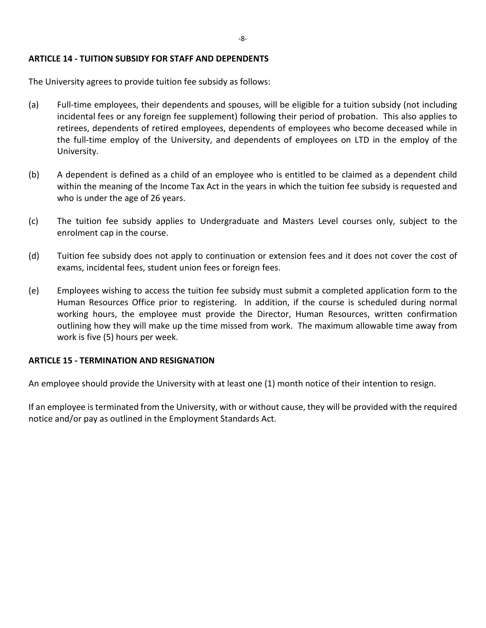#### **ARTICLE 14 - TUITION SUBSIDY FOR STAFF AND DEPENDENTS**

The University agrees to provide tuition fee subsidy as follows:

- (a) Full-time employees, their dependents and spouses, will be eligible for a tuition subsidy (not including incidental fees or any foreign fee supplement) following their period of probation. This also applies to retirees, dependents of retired employees, dependents of employees who become deceased while in the full-time employ of the University, and dependents of employees on LTD in the employ of the University.
- (b) A dependent is defined as a child of an employee who is entitled to be claimed as a dependent child within the meaning of the Income Tax Act in the years in which the tuition fee subsidy is requested and who is under the age of 26 years.
- (c) The tuition fee subsidy applies to Undergraduate and Masters Level courses only, subject to the enrolment cap in the course.
- (d) Tuition fee subsidy does not apply to continuation or extension fees and it does not cover the cost of exams, incidental fees, student union fees or foreign fees.
- (e) Employees wishing to access the tuition fee subsidy must submit a completed application form to the Human Resources Office prior to registering. In addition, if the course is scheduled during normal working hours, the employee must provide the Director, Human Resources, written confirmation outlining how they will make up the time missed from work. The maximum allowable time away from work is five (5) hours per week.

### **ARTICLE 15 - TERMINATION AND RESIGNATION**

An employee should provide the University with at least one (1) month notice of their intention to resign.

If an employee is terminated from the University, with or without cause, they will be provided with the required notice and/or pay as outlined in the Employment Standards Act.